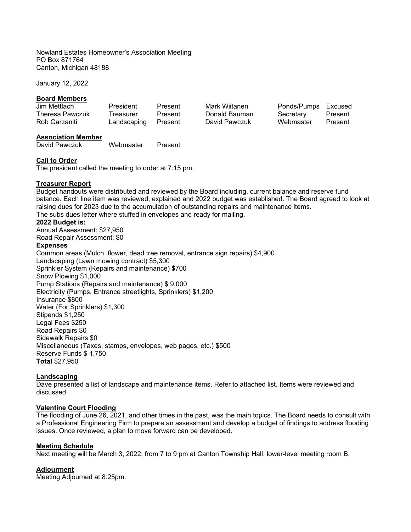Nowland Estates Homeowner's Association Meeting PO Box 871764 Canton, Michigan 48188

January 12, 2022

## **Board Members**

| Jim Mettlach           | President   | Present | Mark Wiitanen | Ponds/Pumps | Excused |
|------------------------|-------------|---------|---------------|-------------|---------|
| <b>Theresa Pawczuk</b> | Treasurer   | Present | Donald Bauman | Secretary   | Present |
| Rob Garzaniti          | Landscaping | Present | David Pawczuk | Webmaster   | Present |
| Accociation Mambor     |             |         |               |             |         |

**Association Member**  David Pawczuk Webmaster Present

# **Call to Order**

The president called the meeting to order at 7:15 pm.

# **Treasurer Report**

Budget handouts were distributed and reviewed by the Board including, current balance and reserve fund balance. Each line item was reviewed, explained and 2022 budget was established. The Board agreed to look at raising dues for 2023 due to the accumulation of outstanding repairs and maintenance items. The subs dues letter where stuffed in envelopes and ready for mailing.

## **2022 Budget is:**

Annual Assessment: \$27,950 Road Repair Assessment: \$0

## **Expenses**

Common areas (Mulch, flower, dead tree removal, entrance sign repairs) \$4,900 Landscaping (Lawn mowing contract) \$5,300 Sprinkler System (Repairs and maintenance) \$700 Snow Plowing \$1,000 Pump Stations (Repairs and maintenance) \$ 9,000 Electricity (Pumps, Entrance streetlights, Sprinklers) \$1,200 Insurance \$800 Water (For Sprinklers) \$1,300 Stipends \$1,250 Legal Fees \$250 Road Repairs \$0 Sidewalk Repairs \$0 Miscellaneous (Taxes, stamps, envelopes, web pages, etc.) \$500 Reserve Funds \$ 1,750 **Total** \$27,950

## **Landscaping**

Dave presented a list of landscape and maintenance items. Refer to attached list. Items were reviewed and discussed.

## **Valentine Court Flooding**

The flooding of June 26, 2021, and other times in the past, was the main topics. The Board needs to consult with a Professional Engineering Firm to prepare an assessment and develop a budget of findings to address flooding issues. Once reviewed, a plan to move forward can be developed.

## **Meeting Schedule**

Next meeting will be March 3, 2022, from 7 to 9 pm at Canton Township Hall, lower-level meeting room B.

## **Adjourment**

Meeting Adjourned at 8:25pm.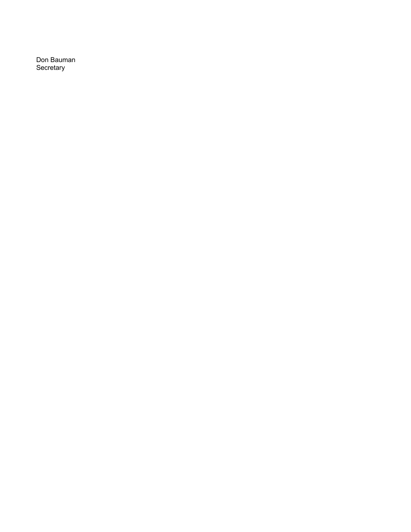Don Bauman Secretary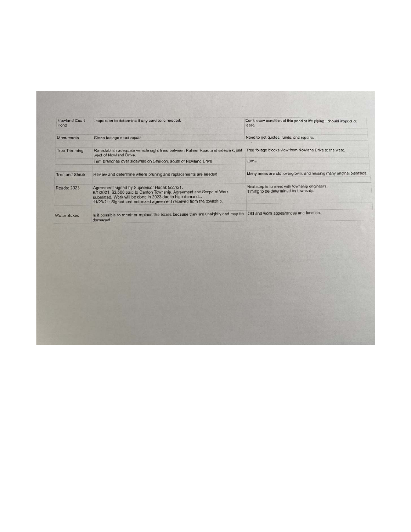| Nowland Court<br>Pond | Inspection to determine if any service is needed.                                                                                                                                                                                                          | Don't know condition of this pond or it's pipingshould inspect at<br>least.           |
|-----------------------|------------------------------------------------------------------------------------------------------------------------------------------------------------------------------------------------------------------------------------------------------------|---------------------------------------------------------------------------------------|
| Monuments             | Stone facings need repair                                                                                                                                                                                                                                  | Need to get quctes, funds, and repairs.                                               |
| <b>Tree Trimming</b>  | Re-establish adequate vehicle sight lines between Palmer Road and sidewalk, just<br>west of Nowland Drive.                                                                                                                                                 | Tree foliage blocks view from Nowland Drive to the west.                              |
|                       | Trim branches over sidewalk on Sheldon, south of Nowland Drive                                                                                                                                                                                             | Low                                                                                   |
| Tree and Shrub        | Review and determine where pruning and replacements are needed                                                                                                                                                                                             | Many areas are old, overgrown, and missing many original plantings.                   |
| Roads: 2023           | Agreement signed by Supervisor Hudak 9/27/21.<br>6/1/2021: \$2,500 paid to Canton Township. Agreement and Scope of Work<br>submitted. Work will be done in 2023 due to high demand<br>11/23/21: Signed and notorized agreement received from the township. | Next step is to meet with township engineers.<br>Timing to be determined by lownship. |
| <b>Water Boxes</b>    | Is it possible to repair or replace the boxes because they are unsightly and may be<br>damaged.                                                                                                                                                            | Old and worn appearances and function.                                                |
|                       |                                                                                                                                                                                                                                                            |                                                                                       |
|                       |                                                                                                                                                                                                                                                            |                                                                                       |
|                       |                                                                                                                                                                                                                                                            |                                                                                       |
|                       |                                                                                                                                                                                                                                                            |                                                                                       |
|                       |                                                                                                                                                                                                                                                            |                                                                                       |
|                       |                                                                                                                                                                                                                                                            |                                                                                       |